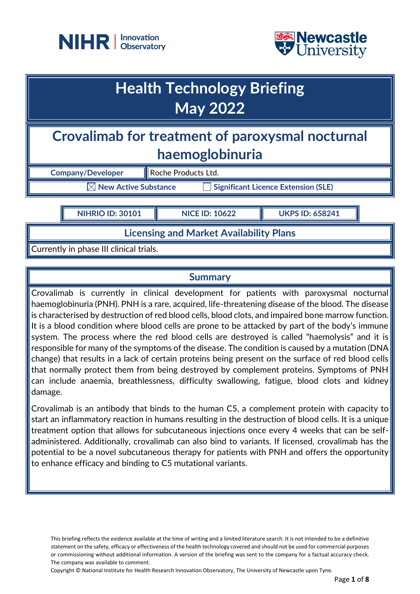



# **Health Technology Briefing May 2022**

# **Crovalimab for treatment of paroxysmal nocturnal haemoglobinuria**

**Company/Developer Roche Products Ltd.**  $\boxtimes$  New Active Substance  $\qquad \qquad \square$  Significant Licence Extension (SLE)

**NIHRIO ID: 30101 NICE ID: 10622 UKPS ID: 658241**

**Licensing and Market Availability Plans**

Currently in phase III clinical trials.

## **Summary**

Crovalimab is currently in clinical development for patients with paroxysmal nocturnal haemoglobinuria (PNH). PNH is a rare, acquired, life-threatening disease of the blood. The disease is characterised by destruction of red blood cells, blood clots, and impaired bone marrow function. It is a blood condition where blood cells are prone to be attacked by part of the body's immune system. The process where the red blood cells are destroyed is called "haemolysis" and it is responsible for many of the symptoms of the disease. The condition is caused by a mutation (DNA change) that results in a lack of certain proteins being present on the surface of red blood cells that normally protect them from being destroyed by complement proteins. Symptoms of PNH can include anaemia, breathlessness, difficulty swallowing, fatigue, blood clots and kidney damage.

Crovalimab is an antibody that binds to the human C5, a complement protein with capacity to start an inflammatory reaction in humans resulting in the destruction of blood cells. It is a unique treatment option that allows for subcutaneous injections once every 4 weeks that can be selfadministered. Additionally, crovalimab can also bind to variants. If licensed, crovalimab has the potential to be a novel subcutaneous therapy for patients with PNH and offers the opportunity to enhance efficacy and binding to C5 mutational variants.

This briefing reflects the evidence available at the time of writing and a limited literature search. It is not intended to be a definitive statement on the safety, efficacy or effectiveness of the health technology covered and should not be used for commercial purposes or commissioning without additional information. A version of the briefing was sent to the company for a factual accuracy check. The company was available to comment.

Copyright © National Institute for Health Research Innovation Observatory, The University of Newcastle upon Tyne.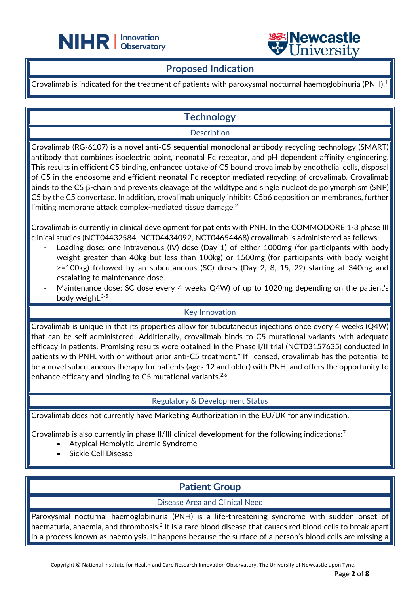



#### **Proposed Indication**

֦

Crovalimab is indicated for the treatment of patients with paroxysmal nocturnal haemoglobinuria (PNH).<sup>1</sup>

# **Technology**

#### **Description**

Crovalimab (RG-6107) is a novel anti-C5 sequential monoclonal antibody recycling technology (SMART) antibody that combines isoelectric point, neonatal Fc receptor, and pH dependent affinity engineering. This results in efficient C5 binding, enhanced uptake of C5 bound crovalimab by endothelial cells, disposal of C5 in the endosome and efficient neonatal Fc receptor mediated recycling of crovalimab. Crovalimab binds to the C5 β-chain and prevents cleavage of the wildtype and single nucleotide polymorphism (SNP) C5 by the C5 convertase. In addition, crovalimab uniquely inhibits C5b6 deposition on membranes, further limiting membrane attack complex-mediated tissue damage. $^2$ 

Crovalimab is currently in clinical development for patients with PNH. In the COMMODORE 1-3 phase III clinical studies (NCT04432584, NCT04434092, NCT04654468) crovalimab is administered as follows:

- Loading dose: one intravenous (IV) dose (Day 1) of either 1000mg (for participants with body weight greater than 40kg but less than 100kg) or 1500mg (for participants with body weight >=100kg) followed by an subcutaneous (SC) doses (Day 2, 8, 15, 22) starting at 340mg and escalating to maintenance dose.
- Maintenance dose: SC dose every 4 weeks Q4W) of up to 1020mg depending on the patient's body weight.3-5

#### Key Innovation

Crovalimab is unique in that its properties allow for subcutaneous injections once every 4 weeks (Q4W) that can be self-administered. Additionally, crovalimab binds to C5 mutational variants with adequate efficacy in patients. Promising results were obtained in the Phase I/II trial (NCT03157635) conducted in patients with PNH, with or without prior anti-C5 treatment.<sup>6</sup> If licensed, crovalimab has the potential to be a novel subcutaneous therapy for patients (ages 12 and older) with PNH, and offers the opportunity to enhance efficacy and binding to C5 mutational variants.<sup>2,6</sup>

#### Regulatory & Development Status

Crovalimab does not currently have Marketing Authorization in the EU/UK for any indication.

Crovalimab is also currently in phase II/III clinical development for the following indications:<sup>7</sup>

- Atypical Hemolytic Uremic Syndrome
- Sickle Cell Disease

## **Patient Group**

Disease Area and Clinical Need

Paroxysmal nocturnal haemoglobinuria (PNH) is a life-threatening syndrome with sudden onset of haematuria, anaemia, and thrombosis. $^2$  It is a rare blood disease that causes red blood cells to break apart in a process known as haemolysis. It happens because the surface of a person's blood cells are missing a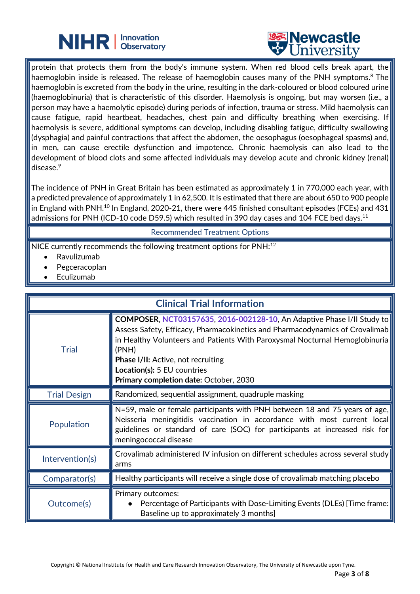



protein that protects them from the body's immune system. When red blood cells break apart, the haemoglobin inside is released. The release of haemoglobin causes many of the PNH symptoms.<sup>8</sup> The haemoglobin is excreted from the body in the urine, resulting in the dark-coloured or blood coloured urine (haemoglobinuria) that is characteristic of this disorder. Haemolysis is ongoing, but may worsen (i.e., a person may have a haemolytic episode) during periods of infection, trauma or stress. Mild haemolysis can cause fatigue, rapid heartbeat, headaches, chest pain and difficulty breathing when exercising. If haemolysis is severe, additional symptoms can develop, including disabling fatigue, difficulty swallowing (dysphagia) and painful contractions that affect the abdomen, the oesophagus (oesophageal spasms) and, in men, can cause erectile dysfunction and impotence. Chronic haemolysis can also lead to the development of blood clots and some affected individuals may develop acute and chronic kidney (renal) disease.<sup>9</sup>

֦

The incidence of PNH in Great Britain has been estimated as approximately 1 in 770,000 each year, with a predicted prevalence of approximately 1 in 62,500. It is estimated that there are about 650 to 900 people  $\vert$  in England with PNH.<sup>10</sup> In England, 2020-21, there were 445 finished consultant episodes (FCEs) and 431 admissions for PNH (ICD-10 code D59.5) which resulted in 390 day cases and 104 FCE bed days.<sup>11</sup>

Recommended Treatment Options

NICE currently recommends the following treatment options for PNH:<sup>12</sup>

- Ravulizumab
- Pegceracoplan
- **Eculizumab**

| <b>Clinical Trial Information</b> |                                                                                                                                                                                                                                                                                                                                                                             |  |
|-----------------------------------|-----------------------------------------------------------------------------------------------------------------------------------------------------------------------------------------------------------------------------------------------------------------------------------------------------------------------------------------------------------------------------|--|
| <b>Trial</b>                      | <b>COMPOSER, NCT03157635, 2016-002128-10, An Adaptive Phase I/II Study to</b><br>Assess Safety, Efficacy, Pharmacokinetics and Pharmacodynamics of Crovalimab<br>in Healthy Volunteers and Patients With Paroxysmal Nocturnal Hemoglobinuria<br>(PNH)<br><b>Phase I/II:</b> Active, not recruiting<br>Location(s): 5 EU countries<br>Primary completion date: October, 2030 |  |
| <b>Trial Design</b>               | Randomized, sequential assignment, quadruple masking                                                                                                                                                                                                                                                                                                                        |  |
| Population                        | N=59, male or female participants with PNH between 18 and 75 years of age,<br>Neisseria meningitidis vaccination in accordance with most current local<br>guidelines or standard of care (SOC) for participants at increased risk for<br>meningococcal disease                                                                                                              |  |
| Intervention(s)                   | Crovalimab administered IV infusion on different schedules across several study<br>arms                                                                                                                                                                                                                                                                                     |  |
| Comparator(s)                     | Healthy participants will receive a single dose of crovalimab matching placebo                                                                                                                                                                                                                                                                                              |  |
| Outcome(s)                        | Primary outcomes:<br>Percentage of Participants with Dose-Limiting Events (DLEs) [Time frame:<br>Baseline up to approximately 3 months]                                                                                                                                                                                                                                     |  |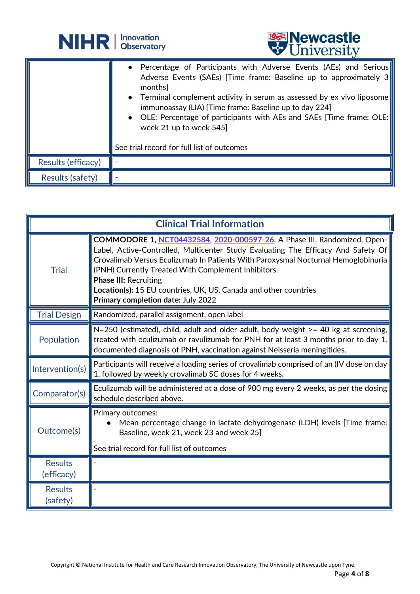



|                    | • Percentage of Participants with Adverse Events (AEs) and Serious<br>Adverse Events (SAEs) [Time frame: Baseline up to approximately 3]<br>months<br>• Terminal complement activity in serum as assessed by ex vivo liposome<br>immunoassay (LIA) [Time frame: Baseline up to day 224]<br>• OLE: Percentage of participants with AEs and SAEs [Time frame: OLE:<br>week 21 up to week 545]<br>See trial record for full list of outcomes |
|--------------------|-------------------------------------------------------------------------------------------------------------------------------------------------------------------------------------------------------------------------------------------------------------------------------------------------------------------------------------------------------------------------------------------------------------------------------------------|
| Results (efficacy) |                                                                                                                                                                                                                                                                                                                                                                                                                                           |
|                    |                                                                                                                                                                                                                                                                                                                                                                                                                                           |
| Results (safety)   |                                                                                                                                                                                                                                                                                                                                                                                                                                           |

֦

| <b>Clinical Trial Information</b> |                                                                                                                                                                                                                                                                                                                                                                                                                                                     |
|-----------------------------------|-----------------------------------------------------------------------------------------------------------------------------------------------------------------------------------------------------------------------------------------------------------------------------------------------------------------------------------------------------------------------------------------------------------------------------------------------------|
| <b>Trial</b>                      | COMMODORE 1, NCT04432584, 2020-000597-26, A Phase III, Randomized, Open-<br>Label, Active-Controlled, Multicenter Study Evaluating The Efficacy And Safety Of<br>Crovalimab Versus Eculizumab In Patients With Paroxysmal Nocturnal Hemoglobinuria<br>(PNH) Currently Treated With Complement Inhibitors.<br><b>Phase III: Recruiting</b><br>Location(s): 15 EU countries, UK, US, Canada and other countries<br>Primary completion date: July 2022 |
| <b>Trial Design</b>               | Randomized, parallel assignment, open label                                                                                                                                                                                                                                                                                                                                                                                                         |
| Population                        | $N=250$ (estimated), child, adult and older adult, body weight $\geq$ 40 kg at screening,<br>treated with eculizumab or ravulizumab for PNH for at least 3 months prior to day 1,<br>documented diagnosis of PNH, vaccination against Neisseria meningitides.                                                                                                                                                                                       |
| Intervention(s)                   | Participants will receive a loading series of crovalimab comprised of an (IV dose on day)<br>1, followed by weekly crovalimab SC doses for 4 weeks.                                                                                                                                                                                                                                                                                                 |
| Comparator(s)                     | Eculizumab will be administered at a dose of 900 mg every 2 weeks, as per the dosing<br>schedule described above.                                                                                                                                                                                                                                                                                                                                   |
| Outcome(s)                        | Primary outcomes:<br>Mean percentage change in lactate dehydrogenase (LDH) levels [Time frame:<br>Baseline, week 21, week 23 and week 25]<br>See trial record for full list of outcomes                                                                                                                                                                                                                                                             |
| <b>Results</b><br>(efficacy)      |                                                                                                                                                                                                                                                                                                                                                                                                                                                     |
| <b>Results</b><br>(safety)        |                                                                                                                                                                                                                                                                                                                                                                                                                                                     |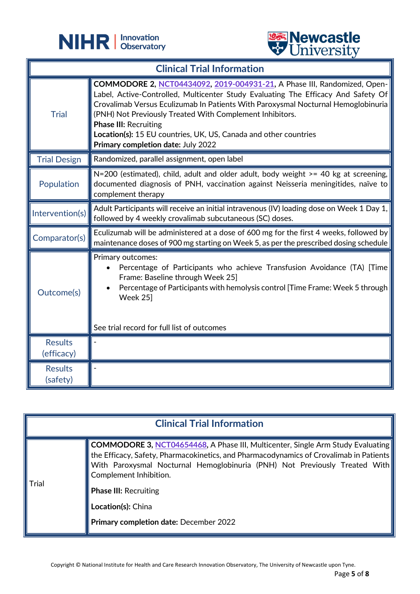

֦



| <b>Clinical Trial Information</b> |                                                                                                                                                                                                                                                                                                                                                                                                                                                                 |
|-----------------------------------|-----------------------------------------------------------------------------------------------------------------------------------------------------------------------------------------------------------------------------------------------------------------------------------------------------------------------------------------------------------------------------------------------------------------------------------------------------------------|
| <b>Trial</b>                      | <b>COMMODORE 2, NCT04434092, 2019-004931-21, A Phase III, Randomized, Open-</b><br>Label, Active-Controlled, Multicenter Study Evaluating The Efficacy And Safety Of<br>Crovalimab Versus Eculizumab In Patients With Paroxysmal Nocturnal Hemoglobinuria<br>(PNH) Not Previously Treated With Complement Inhibitors.<br><b>Phase III: Recruiting</b><br>Location(s): 15 EU countries, UK, US, Canada and other countries<br>Primary completion date: July 2022 |
| <b>Trial Design</b>               | Randomized, parallel assignment, open label                                                                                                                                                                                                                                                                                                                                                                                                                     |
| Population                        | N=200 (estimated), child, adult and older adult, body weight >= 40 kg at screening,<br>documented diagnosis of PNH, vaccination against Neisseria meningitides, naïve to<br>complement therapy                                                                                                                                                                                                                                                                  |
| Intervention(s)                   | Adult Participants will receive an initial intravenous (IV) loading dose on Week 1 Day 1,<br>followed by 4 weekly crovalimab subcutaneous (SC) doses.                                                                                                                                                                                                                                                                                                           |
| Comparator(s)                     | Eculizumab will be administered at a dose of 600 mg for the first 4 weeks, followed by<br>maintenance doses of 900 mg starting on Week 5, as per the prescribed dosing schedule                                                                                                                                                                                                                                                                                 |
| Outcome(s)                        | Primary outcomes:<br>Percentage of Participants who achieve Transfusion Avoidance (TA) [Time<br>Frame: Baseline through Week 25]<br>Percentage of Participants with hemolysis control [Time Frame: Week 5 through<br>Week 25]<br>See trial record for full list of outcomes                                                                                                                                                                                     |
| <b>Results</b><br>(efficacy)      |                                                                                                                                                                                                                                                                                                                                                                                                                                                                 |
| <b>Results</b><br>(safety)        |                                                                                                                                                                                                                                                                                                                                                                                                                                                                 |

|       | <b>Clinical Trial Information</b>                                                                                                                                                                                                                                                                                                                                                        |
|-------|------------------------------------------------------------------------------------------------------------------------------------------------------------------------------------------------------------------------------------------------------------------------------------------------------------------------------------------------------------------------------------------|
| Trial | <b>COMMODORE 3, NCT04654468, A Phase III, Multicenter, Single Arm Study Evaluating</b><br>the Efficacy, Safety, Pharmacokinetics, and Pharmacodynamics of Crovalimab in Patients<br>With Paroxysmal Nocturnal Hemoglobinuria (PNH) Not Previously Treated With<br>Complement Inhibition.<br><b>Phase III: Recruiting</b><br>Location(s): China<br>Primary completion date: December 2022 |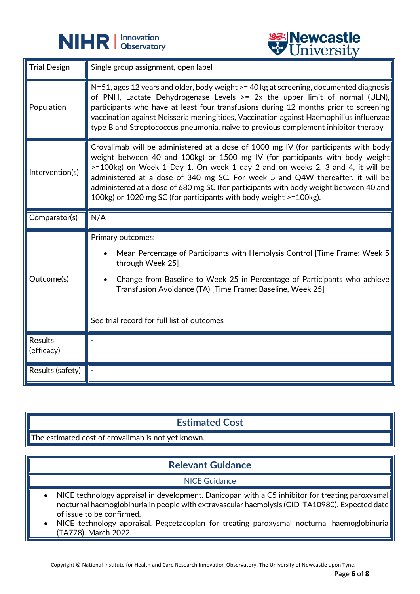

֦



| <b>Trial Design</b>          | Single group assignment, open label                                                                                                                                                                                                                                                                                                                                                                                                                                                                   |
|------------------------------|-------------------------------------------------------------------------------------------------------------------------------------------------------------------------------------------------------------------------------------------------------------------------------------------------------------------------------------------------------------------------------------------------------------------------------------------------------------------------------------------------------|
| Population                   | N=51, ages 12 years and older, body weight >= 40 kg at screening, documented diagnosis<br>of PNH, Lactate Dehydrogenase Levels $>= 2x$ the upper limit of normal (ULN),<br>participants who have at least four transfusions during 12 months prior to screening<br>vaccination against Neisseria meningitides, Vaccination against Haemophilius influenzae<br>type B and Streptococcus pneumonia, naïve to previous complement inhibitor therapy                                                      |
| Intervention(s)              | Crovalimab will be administered at a dose of 1000 mg IV (for participants with body<br>weight between 40 and 100kg) or 1500 mg IV (for participants with body weight<br>>=100kg) on Week 1 Day 1. On week 1 day 2 and on weeks 2, 3 and 4, it will be<br>administered at a dose of 340 mg SC. For week 5 and Q4W thereafter, it will be<br>administered at a dose of 680 mg SC (for participants with body weight between 40 and<br>100kg) or 1020 mg SC (for participants with body weight >=100kg). |
| Comparator(s)                | N/A                                                                                                                                                                                                                                                                                                                                                                                                                                                                                                   |
|                              |                                                                                                                                                                                                                                                                                                                                                                                                                                                                                                       |
| Outcome(s)                   | Primary outcomes:<br>Mean Percentage of Participants with Hemolysis Control [Time Frame: Week 5<br>through Week 25]<br>Change from Baseline to Week 25 in Percentage of Participants who achieve<br>Transfusion Avoidance (TA) [Time Frame: Baseline, Week 25]<br>See trial record for full list of outcomes                                                                                                                                                                                          |
| <b>Results</b><br>(efficacy) |                                                                                                                                                                                                                                                                                                                                                                                                                                                                                                       |

## **Estimated Cost**

The estimated cost of crovalimab is not yet known.

# **Relevant Guidance**

#### NICE Guidance

- NICE technology appraisal in development. Danicopan with a C5 inhibitor for treating paroxysmal nocturnal haemoglobinuria in people with extravascular haemolysis (GID-TA10980). Expected date of issue to be confirmed.
- NICE technology appraisal. Pegcetacoplan for treating paroxysmal nocturnal haemoglobinuria (TA778). March 2022.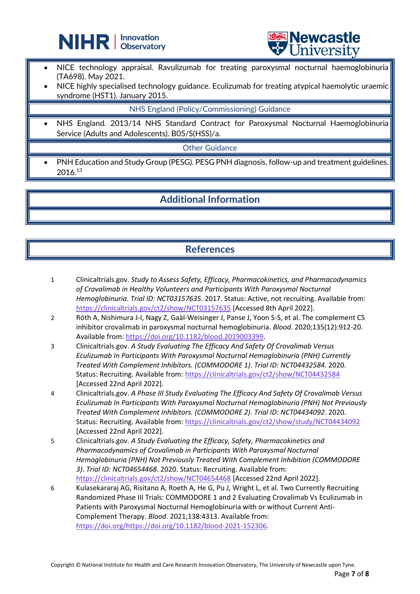



NICE technology appraisal. Ravulizumab for treating paroxysmal nocturnal haemoglobinuria (TA698). May 2021.

֦

NICE highly specialised technology guidance. Eculizumab for treating atypical haemolytic uraemic syndrome (HST1). January 2015.

#### NHS England (Policy/Commissioning) Guidance

• NHS England. 2013/14 NHS Standard Contract for Paroxysmal Nocturnal Haemoglobinuria Service (Adults and Adolescents). B05/S(HSS)/a.

Other Guidance

• PNH Education and Study Group (PESG). PESG PNH diagnosis, follow-up and treatment guidelines. 2016.<sup>13</sup>

#### **Additional Information**

#### **References**

- 1 Clinicaltrials.gov. *Study to Assess Safety, Efficacy, Pharmacokinetics, and Pharmacodynamics of Crovalimab in Healthy Volunteers and Participants With Paroxysmal Nocturnal Hemoglobinuria*. *Trial ID: NCT03157635*. 2017. Status: Active, not recruiting. Available from: <https://clinicaltrials.gov/ct2/show/NCT03157635> [Accessed 8th April 2022].
- 2 Röth A, Nishimura J-I, Nagy Z, Gaàl-Weisinger J, Panse J, Yoon S-S, et al. The complement C5 inhibitor crovalimab in paroxysmal nocturnal hemoglobinuria. *Blood*. 2020;135(12):912-20. Available from[: https://doi.org/10.1182/blood.2019003399.](https://doi.org/10.1182/blood.2019003399)
- 3 Clinicaltrials.gov. *A Study Evaluating The Efficacy And Safety Of Crovalimab Versus Eculizumab In Participants With Paroxysmal Nocturnal Hemoglobinuria (PNH) Currently Treated With Complement Inhibitors. (COMMODORE 1)*. *Trial ID: NCT04432584*. 2020. Status: Recruiting. Available from:<https://clinicaltrials.gov/ct2/show/NCT04432584> [Accessed 22nd April 2022].
- 4 Clinicaltrials.gov. *A Phase III Study Evaluating The Efficacy And Safety Of Crovalimab Versus Eculizumab In Participants With Paroxysmal Nocturnal Hemoglobinuria (PNH) Not Previously Treated With Complement Inhibitors. (COMMODORE 2)*. *Trial ID: NCT04434092*. 2020. Status: Recruiting. Available from:<https://clinicaltrials.gov/ct2/show/study/NCT04434092> [Accessed 22nd April 2022].
- 5 Clinicaltrials.gov. *A Study Evaluating the Efficacy, Safety, Pharmacokinetics and Pharmacodynamics of Crovalimab in Participants With Paroxysmal Nocturnal Hemoglobinuria (PNH) Not Previously Treated With Complement Inhibition (COMMODORE 3)*. *Trial ID: NCT04654468*. 2020. Status: Recruiting. Available from: <https://clinicaltrials.gov/ct2/show/NCT04654468> [Accessed 22nd April 2022].
- 6 Kulasekararaj AG, Risitano A, Roeth A, He G, Pu J, Wright L, et al. Two Currently Recruiting Randomized Phase III Trials: COMMODORE 1 and 2 Evaluating Crovalimab Vs Eculizumab in Patients with Paroxysmal Nocturnal Hemoglobinuria with or without Current Anti-Complement Therapy. *Blood*. 2021;138:4313. Available from: [https://doi.org/https://doi.org/10.1182/blood-2021-152306.](https://doi.org/https:/doi.org/10.1182/blood-2021-152306)